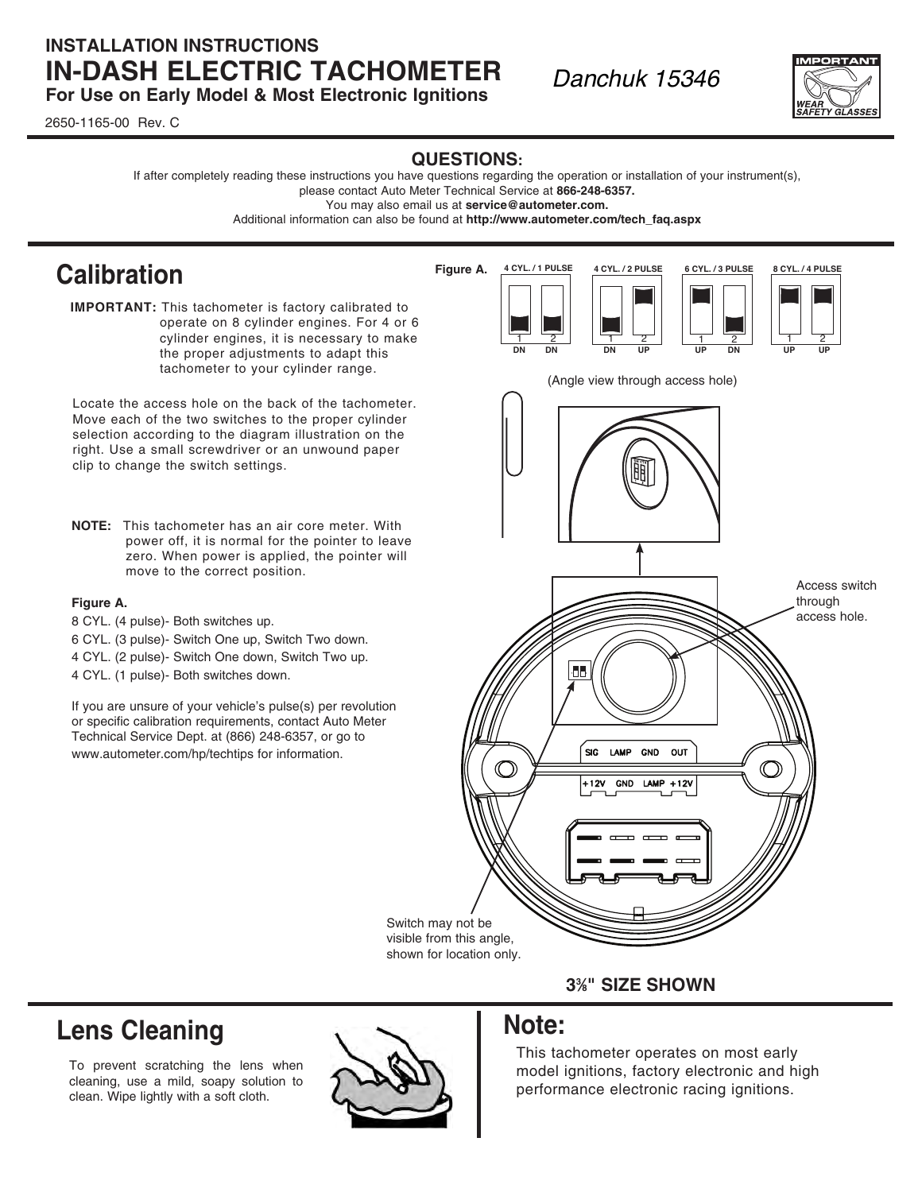## **INSTALLATION INSTRUCTIONS IN-DASH ELECTRIC TACHOMETER For Use on Early Model & Most Electronic Ignitions**

2650-1165-00 Rev. C

### **QUESTIONS:**

If after completely reading these instructions you have questions regarding the operation or installation of your instrument(s),

please contact Auto Meter Technical Service at **866-248-6357.** You may also email us at **service@autometer.com.**

Additional information can also be found at **http://www.autometer.com/tech\_faq.aspx**

**Figure A.**

# **Calibration**

**IMPORTANT:** This tachometer is factory calibrated to operate on 8 cylinder engines. For 4 or 6 cylinder engines, it is necessary to make the proper adjustments to adapt this tachometer to your cylinder range.

Locate the access hole on the back of the tachometer. Move each of the two switches to the proper cylinder selection according to the diagram illustration on the right. Use a small screwdriver or an unwound paper clip to change the switch settings.

**NOTE:** This tachometer has an air core meter. With power off, it is normal for the pointer to leave zero. When power is applied, the pointer will move to the correct position.

### **Figure A.**

- 8 CYL. (4 pulse)- Both switches up.
- 6 CYL. (3 pulse)- Switch One up, Switch Two down.
- 4 CYL. (2 pulse)- Switch One down, Switch Two up.
- 4 CYL. (1 pulse)- Both switches down.

If you are unsure of your vehicle's pulse(s) per revolution or specific calibration requirements, contact Auto Meter Technical Service Dept. at (866) 248-6357, or go to www.autometer.com/hp/techtips for information.

<u>1 2 1 2 1 2</u> 1 2 **DN DN DN UP UP DN UP UP** (Angle view through access hole) 眮 Access switch through access hole. **1 2 SIG** LAMP **OUT GND** ∩  $LAMP + 12V$ +12V GND

**4 CYL. / 1 PULSE 4 CYL. / 2 PULSE 6 CYL. / 3 PULSE**

*Danchuk 15346*

Switch may not be visible from this angle, shown for location only.

### **33 ⁄8" SIZE SHOWN**

# **Lens Cleaning**

To prevent scratching the lens when cleaning, use a mild, soapy solution to clean. Wipe lightly with a soft cloth.



## **Note:**

This tachometer operates on most early model ignitions, factory electronic and high performance electronic racing ignitions.



**8 CYL. / 4 PULSE**